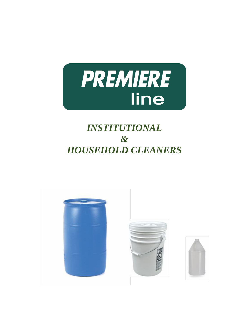

# *INSTITUTIONAL & HOUSEHOLD CLEANERS*

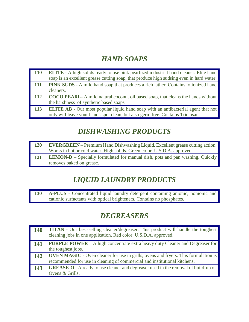## *HAND SOAPS*

| <b>110</b> | <b>ELITE</b> - A high solids ready to use pink pearlized industrial hand cleaner. Elite hand |
|------------|----------------------------------------------------------------------------------------------|
|            | soap is an excellent grease cutting soap, that produce high sudsing even in hard water.      |
| <b>111</b> | <b>PINK SUDS</b> - A mild hand soap that produces a rich lather. Contains lotionized hand    |
|            | cleaners.                                                                                    |
| 112        | <b>COCO PEARL</b> - A mild natural coconut oil based soap, that cleans the hands without     |
|            | the harshness of synthetic based soaps                                                       |
| 113        | <b>ELITE AB</b> - Our most popular liquid hand soap with an antibacterial agent that not     |
|            | only will leave your hands spot clean, but also germ free. Contains Triclosan.               |

#### *DISHWASHING PRODUCTS*

| <b>120</b> | <b>EVERGREEN</b> – Premium Hand Dishwashing Liquid. Excellent grease cutting action.<br>Works in hot or cold water. High solids. Green color. U.S.D.A. approved. |
|------------|------------------------------------------------------------------------------------------------------------------------------------------------------------------|
| <b>121</b> | <b>LEMON-D</b> – Specially formulated for manual dish, pots and pan washing. Quickly                                                                             |
|            | removes baked on grease.                                                                                                                                         |

### *LIQUID LAUNDRY PRODUCTS*

**130 A-PLUS** - Concentrated liquid laundry detergent containing anionic, nonionic and cationic surfactants with optical brighteners. Contains no phosphates.

#### *DEGREASERS*

| <b>140</b> | <b>TITAN</b> - Our best-selling cleaner/degreaser. This product will handle the toughest<br>cleaning jobs in one application. Red color. U.S.D.A. approved.            |
|------------|------------------------------------------------------------------------------------------------------------------------------------------------------------------------|
| 141        | <b>PURPLE POWER</b> – A high concentrate extra heavy duty Cleaner and Degreaser for<br>the toughest jobs.                                                              |
| 142        | <b>OVEN MAGIC</b> - Oven cleaner for use in grills, ovens and fryers. This formulation is<br>recommended for use in cleaning of commercial and institutional kitchens. |
| 143        | <b>GREASE-O</b> - A ready to use cleaner and degreaser used in the removal of build-up on<br>Ovens & Grills.                                                           |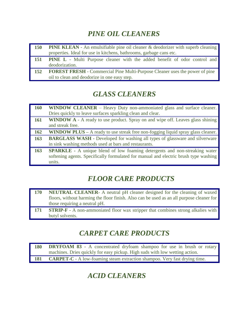## *PINE OIL CLEANERS*

| <b>150</b> | <b>PINE KLEAN</b> - An emulsifiable pine oil cleaner & deodorizer with superb cleaning |
|------------|----------------------------------------------------------------------------------------|
|            | properties. Ideal for use in kitchens, bathrooms, garbage cans etc.                    |
| 151        | <b>PINE L</b> - Multi Purpose cleaner with the added benefit of odor control and       |
|            | deodorization.                                                                         |
| 152        | <b>FOREST FRESH</b> - Commercial Pine Multi-Purpose Cleaner uses the power of pine     |
|            | oil to clean and deodorize in one easy step.                                           |

# *GLASS CLEANERS*

| <b>160</b> | <b>WINDOW CLEANER</b> – Heavy Duty non-ammoniated glass and surface cleaner.            |
|------------|-----------------------------------------------------------------------------------------|
|            | Dries quickly to leave surfaces sparkling clean and clear.                              |
| <b>161</b> | <b>WINDOW</b> A - A ready to use product. Spray on and wipe off. Leaves glass shining   |
|            | and streak free.                                                                        |
| <b>162</b> | <b>WINDOW PLUS</b> – A ready to use streak free non-fogging liquid spray glass cleaner. |
| 163        | <b>BARGLASS WASH</b> - Developed for washing all types of glassware and silverware      |
|            | in sink washing methods used at bars and restaurants.                                   |
| 163        | <b>SPARKLE</b> - A unique blend of low foaming detergents and non-streaking water       |
|            | softening agents. Specifically formulated for manual and electric brush type washing    |
|            | units.                                                                                  |

# *FLOOR CARE PRODUCTS*

| 170 | <b>NEUTRAL CLEANER</b> - A neutral pH cleaner designed for the cleaning of waxed         |
|-----|------------------------------------------------------------------------------------------|
|     | floors, without harming the floor finish. Also can be used as an all purpose cleaner for |
|     | those requiring a neutral pH.                                                            |
| 171 | <b>STRIP-F</b> - A non-ammoniated floor wax stripper that combines strong alkalies with  |
|     | butyl solvents.                                                                          |

# *CARPET CARE PRODUCTS*

| 180        | <b>DRYFOAM 83</b> - A concentrated dryfoam shampoo for use in brush or rotary    |
|------------|----------------------------------------------------------------------------------|
|            | machines. Dries quickly for easy pickup. High suds with low wetting action.      |
| <b>181</b> | <b>CARPET-C</b> - A low-foaming steam extraction shampoo. Very fast drying time. |

# *ACID CLEANERS*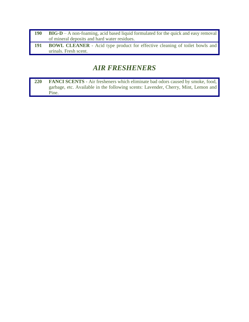| <b>190</b> | $BIG-D-A$ non-foaming, acid based liquid formulated for the quick and easy removal |
|------------|------------------------------------------------------------------------------------|
|            | of mineral deposits and hard water residues.                                       |
| 191        | <b>BOWL CLEANER</b> - Acid type product for effective cleaning of toilet bowls and |
|            | urinals. Fresh scent.                                                              |

#### *AIR FRESHENERS*

**220 FANCI SCENTS** - Air fresheners which eliminate bad odors caused by smoke, food, garbage, etc. Available in the following scents: Lavender, Cherry, Mint, Lemon and Pine.